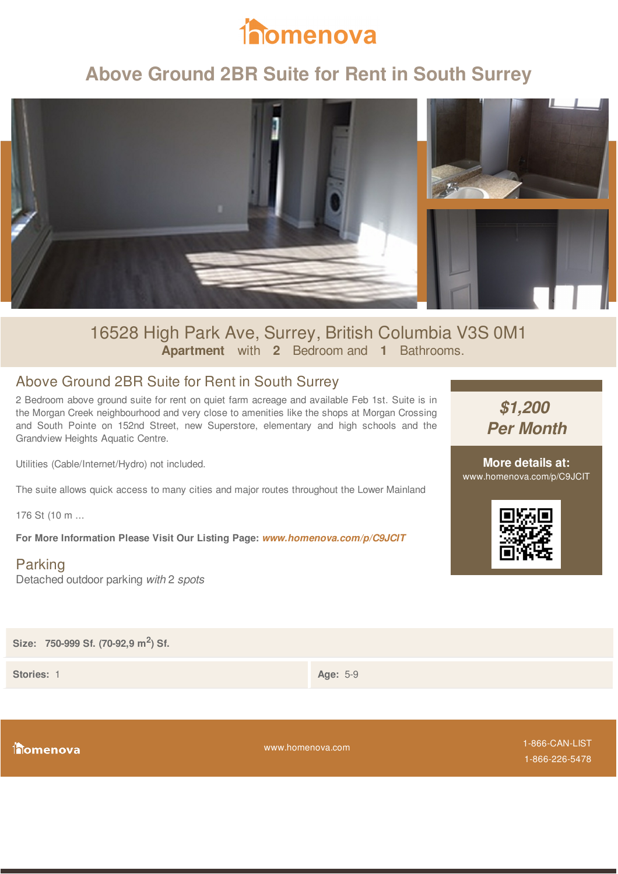

# **Above Ground 2BR Suite for Rent in South Surrey**



### 16528 High Park Ave, Surrey, British Columbia V3S 0M1 **Apartment** with **2** Bedroom and **1** Bathrooms.

#### Above Ground 2BR Suite for Rent in South Surrey

2 Bedroom above ground suite for rent on quiet farm acreage and available Feb 1st. Suite is in the Morgan Creek neighbourhood and very close to amenities like the shops at Morgan Crossing and South Pointe on 152nd Street, new Superstore, elementary and high schools and the Grandview Heights Aquatic Centre.

Utilities (Cable/Internet/Hydro) not included.

The suite allows quick access to many cities and major routes throughout the Lower Mainland

176 St (10 m ...

**For More Information Please Visit Our Listing Page:** *www.homenova.com/p/C9JCIT*

Parking Detached outdoor parking *with* 2 *spots*

*\$1,200 Per Month*

**More details at:** www.homenova.com/p/C9JCIT



**Size: 750-999 Sf. (70-92,9 m<sup>2</sup> ) Sf.**

**Stories:** 1 **Age:** 5-9

**inomenova** 

www.homenova.com

1-866-CAN-LIST 1-866-226-5478